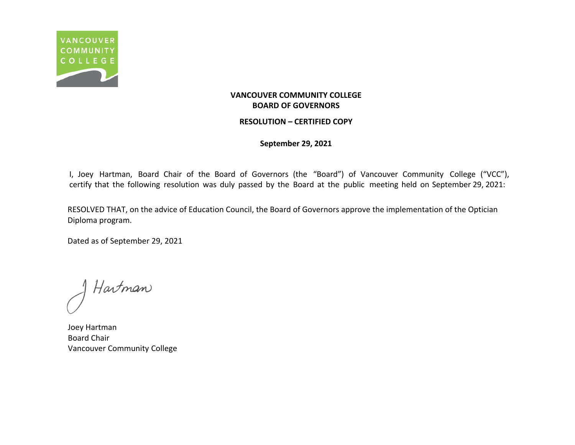

#### **RESOLUTION – CERTIFIED COPY**

**September 29, 2021**

I, Joey Hartman, Board Chair of the Board of Governors (the "Board") of Vancouver Community College ("VCC"), certify that the following resolution was duly passed by the Board at the public meeting held on September 29, 2021:

RESOLVED THAT, on the advice of Education Council, the Board of Governors approve the implementation of the Optician Diploma program.

Hartman

Joey Hartman Board Chair Vancouver Community College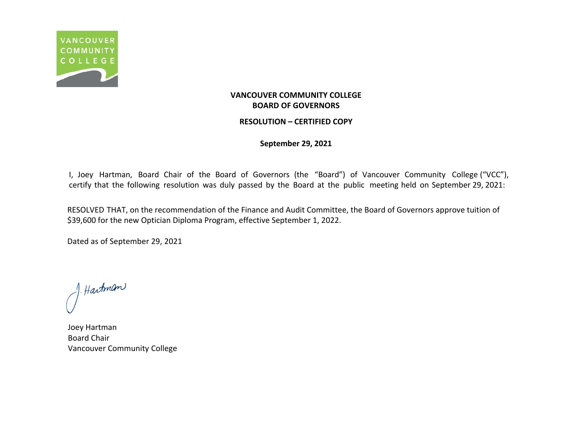

#### **RESOLUTION – CERTIFIED COPY**

**September 29, 2021**

I, Joey Hartman, Board Chair of the Board of Governors (the "Board") of Vancouver Community College ("VCC"), certify that the following resolution was duly passed by the Board at the public meeting held on September 29, 2021:

RESOLVED THAT, on the recommendation of the Finance and Audit Committee, the Board of Governors approve tuition of \$39,600 for the new Optician Diploma Program, effective September 1, 2022.

J. Hartman

Joey Hartman Board Chair Vancouver Community College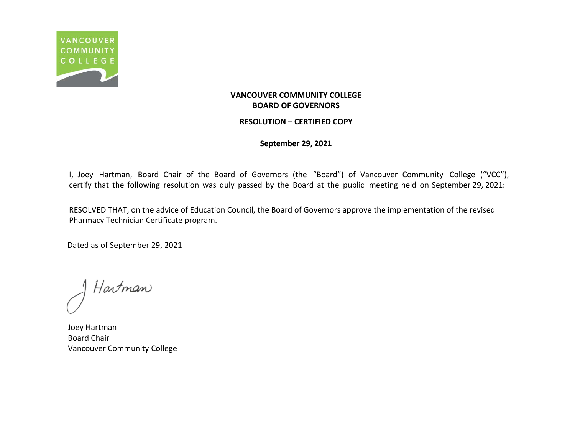

#### **RESOLUTION – CERTIFIED COPY**

**September 29, 2021**

I, Joey Hartman, Board Chair of the Board of Governors (the "Board") of Vancouver Community College ("VCC"), certify that the following resolution was duly passed by the Board at the public meeting held on September 29, 2021:

RESOLVED THAT, on the advice of Education Council, the Board of Governors approve the implementation of the revised Pharmacy Technician Certificate program.

Hartman

Joey Hartman Board Chair Vancouver Community College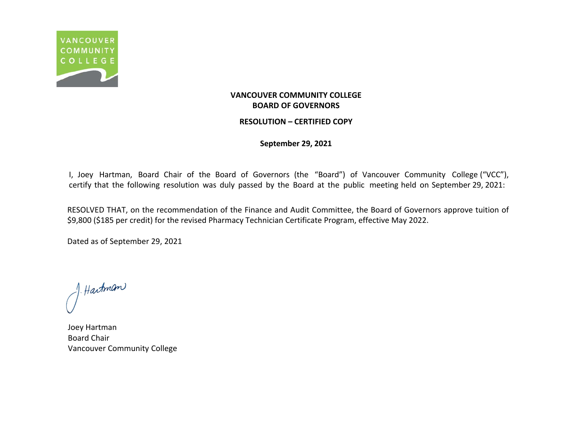

#### **RESOLUTION – CERTIFIED COPY**

**September 29, 2021**

I, Joey Hartman, Board Chair of the Board of Governors (the "Board") of Vancouver Community College ("VCC"), certify that the following resolution was duly passed by the Board at the public meeting held on September 29, 2021:

RESOLVED THAT, on the recommendation of the Finance and Audit Committee, the Board of Governors approve tuition of \$9,800 (\$185 per credit) for the revised Pharmacy Technician Certificate Program, effective May 2022.

J. Hartman

Joey Hartman Board Chair Vancouver Community College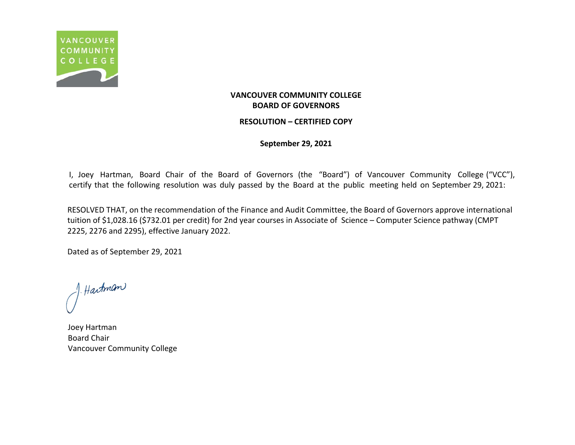

#### **RESOLUTION – CERTIFIED COPY**

**September 29, 2021**

I, Joey Hartman, Board Chair of the Board of Governors (the "Board") of Vancouver Community College ("VCC"), certify that the following resolution was duly passed by the Board at the public meeting held on September 29, 2021:

RESOLVED THAT, on the recommendation of the Finance and Audit Committee, the Board of Governors approve international tuition of \$1,028.16 (\$732.01 per credit) for 2nd year courses in Associate of Science – Computer Science pathway (CMPT 2225, 2276 and 2295), effective January 2022.

f. Hartman

Joey Hartman Board Chair Vancouver Community College